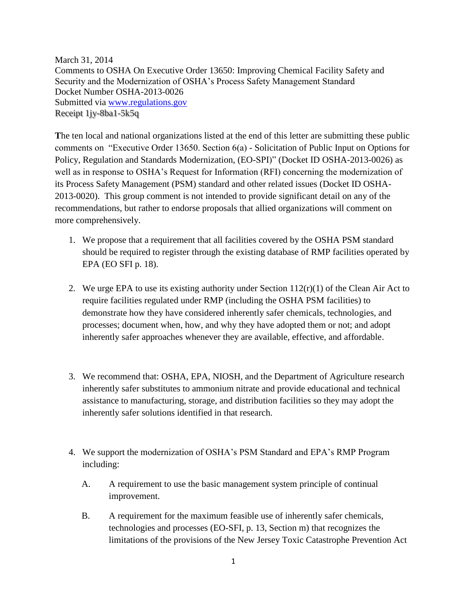March 31, 2014 Comments to OSHA On Executive Order 13650: Improving Chemical Facility Safety and Security and the Modernization of OSHA's Process Safety Management Standard Docket Number OSHA-2013-0026 Submitted via [www.regulations.gov](http://www.regulations.gov/) Receipt 1jy-8ba1-5k5q

**T**he ten local and national organizations listed at the end of this letter are submitting these public comments on "Executive Order 13650. Section 6(a) - Solicitation of Public Input on Options for Policy, Regulation and Standards Modernization, (EO-SPI)" (Docket ID OSHA-2013-0026) as well as in response to OSHA's Request for Information (RFI) concerning the modernization of its Process Safety Management (PSM) standard and other related issues (Docket ID OSHA-2013-0020). This group comment is not intended to provide significant detail on any of the recommendations, but rather to endorse proposals that allied organizations will comment on more comprehensively.

- 1. We propose that a requirement that all facilities covered by the OSHA PSM standard should be required to register through the existing database of RMP facilities operated by EPA (EO SFI p. 18).
- 2. We urge EPA to use its existing authority under Section  $112(r)(1)$  of the Clean Air Act to require facilities regulated under RMP (including the OSHA PSM facilities) to demonstrate how they have considered inherently safer chemicals, technologies, and processes; document when, how, and why they have adopted them or not; and adopt inherently safer approaches whenever they are available, effective, and affordable.
- 3. We recommend that: OSHA, EPA, NIOSH, and the Department of Agriculture research inherently safer substitutes to ammonium nitrate and provide educational and technical assistance to manufacturing, storage, and distribution facilities so they may adopt the inherently safer solutions identified in that research.
- 4. We support the modernization of OSHA's PSM Standard and EPA's RMP Program including:
	- A. A requirement to use the basic management system principle of continual improvement.
	- B. A requirement for the maximum feasible use of inherently safer chemicals, technologies and processes (EO-SFI, p. 13, Section m) that recognizes the limitations of the provisions of the New Jersey Toxic Catastrophe Prevention Act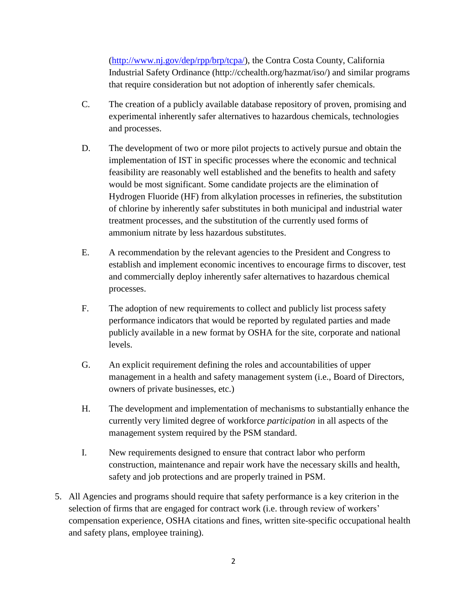[\(http://www.nj.gov/dep/rpp/brp/tcpa/\)](http://www.nj.gov/dep/rpp/brp/tcpa/), the Contra Costa County, California Industrial Safety Ordinance (http://cchealth.org/hazmat/iso/) and similar programs that require consideration but not adoption of inherently safer chemicals.

- C. The creation of a publicly available database repository of proven, promising and experimental inherently safer alternatives to hazardous chemicals, technologies and processes.
- D. The development of two or more pilot projects to actively pursue and obtain the implementation of IST in specific processes where the economic and technical feasibility are reasonably well established and the benefits to health and safety would be most significant. Some candidate projects are the elimination of Hydrogen Fluoride (HF) from alkylation processes in refineries, the substitution of chlorine by inherently safer substitutes in both municipal and industrial water treatment processes, and the substitution of the currently used forms of ammonium nitrate by less hazardous substitutes.
- E. A recommendation by the relevant agencies to the President and Congress to establish and implement economic incentives to encourage firms to discover, test and commercially deploy inherently safer alternatives to hazardous chemical processes.
- F. The adoption of new requirements to collect and publicly list process safety performance indicators that would be reported by regulated parties and made publicly available in a new format by OSHA for the site, corporate and national levels.
- G. An explicit requirement defining the roles and accountabilities of upper management in a health and safety management system (i.e., Board of Directors, owners of private businesses, etc.)
- H. The development and implementation of mechanisms to substantially enhance the currently very limited degree of workforce *participation* in all aspects of the management system required by the PSM standard.
- I. New requirements designed to ensure that contract labor who perform construction, maintenance and repair work have the necessary skills and health, safety and job protections and are properly trained in PSM.
- 5. All Agencies and programs should require that safety performance is a key criterion in the selection of firms that are engaged for contract work (i.e. through review of workers' compensation experience, OSHA citations and fines, written site-specific occupational health and safety plans, employee training).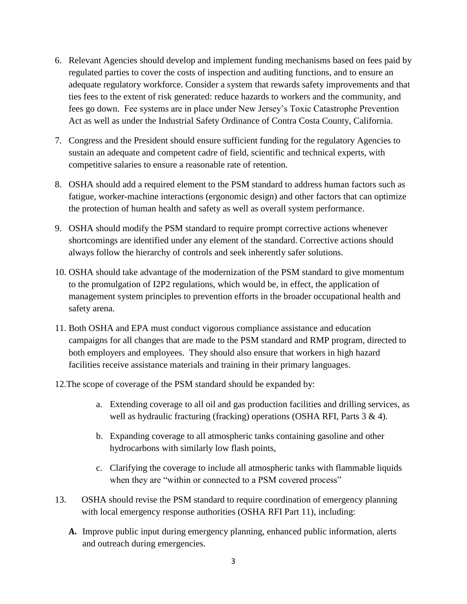- 6. Relevant Agencies should develop and implement funding mechanisms based on fees paid by regulated parties to cover the costs of inspection and auditing functions, and to ensure an adequate regulatory workforce. Consider a system that rewards safety improvements and that ties fees to the extent of risk generated: reduce hazards to workers and the community, and fees go down. Fee systems are in place under New Jersey's Toxic Catastrophe Prevention Act as well as under the Industrial Safety Ordinance of Contra Costa County, California.
- 7. Congress and the President should ensure sufficient funding for the regulatory Agencies to sustain an adequate and competent cadre of field, scientific and technical experts, with competitive salaries to ensure a reasonable rate of retention.
- 8. OSHA should add a required element to the PSM standard to address human factors such as fatigue, worker-machine interactions (ergonomic design) and other factors that can optimize the protection of human health and safety as well as overall system performance.
- 9. OSHA should modify the PSM standard to require prompt corrective actions whenever shortcomings are identified under any element of the standard. Corrective actions should always follow the hierarchy of controls and seek inherently safer solutions.
- 10. OSHA should take advantage of the modernization of the PSM standard to give momentum to the promulgation of I2P2 regulations, which would be, in effect, the application of management system principles to prevention efforts in the broader occupational health and safety arena.
- 11. Both OSHA and EPA must conduct vigorous compliance assistance and education campaigns for all changes that are made to the PSM standard and RMP program, directed to both employers and employees. They should also ensure that workers in high hazard facilities receive assistance materials and training in their primary languages.
- 12.The scope of coverage of the PSM standard should be expanded by:
	- a. Extending coverage to all oil and gas production facilities and drilling services, as well as hydraulic fracturing (fracking) operations (OSHA RFI, Parts 3 & 4).
	- b. Expanding coverage to all atmospheric tanks containing gasoline and other hydrocarbons with similarly low flash points,
	- c. Clarifying the coverage to include all atmospheric tanks with flammable liquids when they are "within or connected to a PSM covered process"
- 13. OSHA should revise the PSM standard to require coordination of emergency planning with local emergency response authorities (OSHA RFI Part 11), including:
	- **A.** Improve public input during emergency planning, enhanced public information, alerts and outreach during emergencies.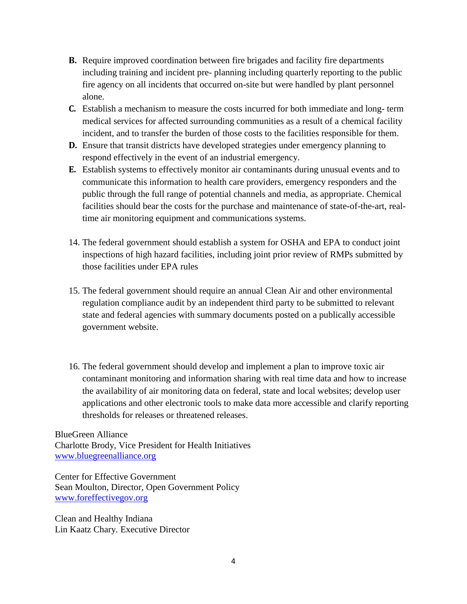- **B.** Require improved coordination between fire brigades and facility fire departments including training and incident pre- planning including quarterly reporting to the public fire agency on all incidents that occurred on-site but were handled by plant personnel alone.
- **C.** Establish a mechanism to measure the costs incurred for both immediate and long- term medical services for affected surrounding communities as a result of a chemical facility incident, and to transfer the burden of those costs to the facilities responsible for them.
- **D.** Ensure that transit districts have developed strategies under emergency planning to respond effectively in the event of an industrial emergency.
- **E.** Establish systems to effectively monitor air contaminants during unusual events and to communicate this information to health care providers, emergency responders and the public through the full range of potential channels and media, as appropriate. Chemical facilities should bear the costs for the purchase and maintenance of state-of-the-art, realtime air monitoring equipment and communications systems.
- 14. The federal government should establish a system for OSHA and EPA to conduct joint inspections of high hazard facilities, including joint prior review of RMPs submitted by those facilities under EPA rules
- 15. The federal government should require an annual Clean Air and other environmental regulation compliance audit by an independent third party to be submitted to relevant state and federal agencies with summary documents posted on a publically accessible government website.
- 16. The federal government should develop and implement a plan to improve toxic air contaminant monitoring and information sharing with real time data and how to increase the availability of air monitoring data on federal, state and local websites; develop user applications and other electronic tools to make data more accessible and clarify reporting thresholds for releases or threatened releases.

BlueGreen Alliance Charlotte Brody, Vice President for Health Initiatives [www.bluegreenalliance.org](http://www.bluegreenalliance.org/)

Center for Effective Government Sean Moulton, Director, Open Government Policy [www.foreffectivegov.org](http://www.foreffectivegov.org/)

Clean and Healthy Indiana Lin Kaatz Chary. Executive Director